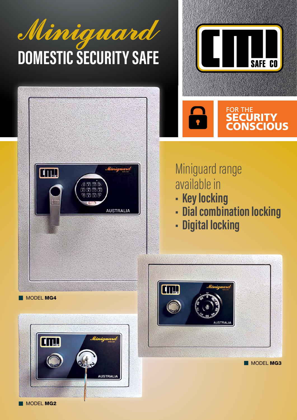







## Miniguard range available in

- **• Key locking**
- **• Dial combination locking**
- **• Digital locking**



**MODEL MG3** 

MODEL MG<sub>2</sub>